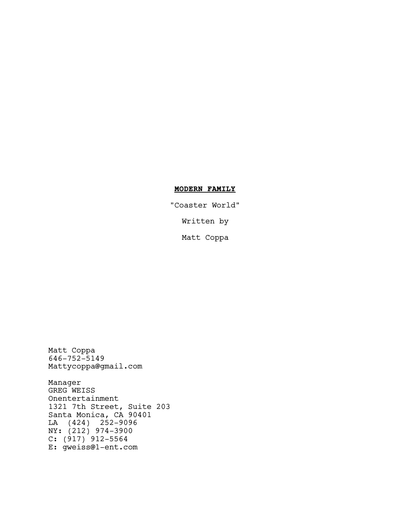# **MODERN FAMILY**

"Coaster World" Written by

Matt Coppa

Matt Coppa 646-752-5149 Mattycoppa@gmail.com

Manager GREG WEISS Onentertainment 1321 7th Street, Suite 203 Santa Monica, CA 90401 LA (424) 252-9096 NY: (212) 974-3900 C: (917) 912-5564 E: gweiss@1-ent.com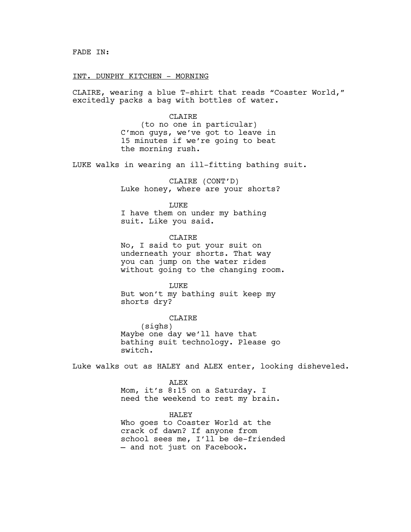#### INT. DUNPHY KITCHEN - MORNING

CLAIRE, wearing a blue T-shirt that reads "Coaster World," excitedly packs a bag with bottles of water.

> CLAIRE (to no one in particular) C'mon guys, we've got to leave in 15 minutes if we're going to beat the morning rush.

LUKE walks in wearing an ill-fitting bathing suit.

CLAIRE (CONT'D) Luke honey, where are your shorts?

LUKE I have them on under my bathing suit. Like you said.

CLAIRE No, I said to put your suit on underneath your shorts. That way you can jump on the water rides without going to the changing room.

LUKE But won't my bathing suit keep my shorts dry?

CLAIRE (sighs) Maybe one day we'll have that bathing suit technology. Please go switch.

Luke walks out as HALEY and ALEX enter, looking disheveled.

ALEX Mom, it's 8:15 on a Saturday. I need the weekend to rest my brain.

HALEY Who goes to Coaster World at the crack of dawn? If anyone from school sees me, I'll be de-friended — and not just on Facebook.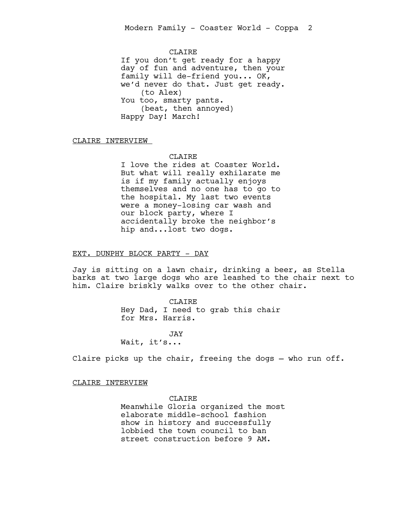CLAIRE If you don't get ready for a happy day of fun and adventure, then your family will de-friend you... OK, we'd never do that. Just get ready. (to Alex) You too, smarty pants. (beat, then annoyed) Happy Day! March!

CLAIRE INTERVIEW

# CLAIRE.

I love the rides at Coaster World. But what will really exhilarate me is if my family actually enjoys themselves and no one has to go to the hospital. My last two events were a money-losing car wash and our block party, where I accidentally broke the neighbor's hip and...lost two dogs.

#### EXT. DUNPHY BLOCK PARTY - DAY

Jay is sitting on a lawn chair, drinking a beer, as Stella barks at two large dogs who are leashed to the chair next to him. Claire briskly walks over to the other chair.

> CLAIRE Hey Dad, I need to grab this chair for Mrs. Harris.

# **JAY** Wait, it's...

Claire picks up the chair, freeing the dogs — who run off.

# CLAIRE INTERVIEW

CLAIRE Meanwhile Gloria organized the most elaborate middle-school fashion show in history and successfully lobbied the town council to ban street construction before 9 AM.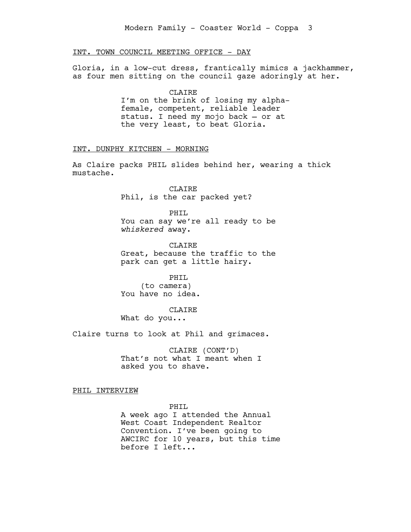# INT. TOWN COUNCIL MEETING OFFICE - DAY

Gloria, in a low-cut dress, frantically mimics a jackhammer, as four men sitting on the council gaze adoringly at her.

> CLAIRE I'm on the brink of losing my alphafemale, competent, reliable leader status. I need my mojo back — or at the very least, to beat Gloria.

# INT. DUNPHY KITCHEN - MORNING

As Claire packs PHIL slides behind her, wearing a thick mustache.

> CLAIRE Phil, is the car packed yet?

PHIL You can say we're all ready to be *whiskered* away.

**CLAIRE** Great, because the traffic to the park can get a little hairy.

PHIL (to camera) You have no idea.

CLAIRE What do you...

Claire turns to look at Phil and grimaces.

CLAIRE (CONT'D) That's not what I meant when I asked you to shave.

PHIL INTERVIEW

PHIL

A week ago I attended the Annual West Coast Independent Realtor Convention. I've been going to AWCIRC for 10 years, but this time before I left...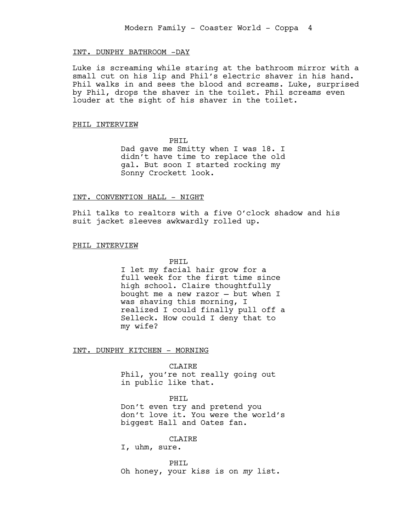# INT. DUNPHY BATHROOM -DAY

Luke is screaming while staring at the bathroom mirror with a small cut on his lip and Phil's electric shaver in his hand. Phil walks in and sees the blood and screams. Luke, surprised by Phil, drops the shaver in the toilet. Phil screams even louder at the sight of his shaver in the toilet.

#### PHIL INTERVIEW

PHIL

Dad gave me Smitty when I was 18. I didn't have time to replace the old gal. But soon I started rocking my Sonny Crockett look.

#### INT. CONVENTION HALL - NIGHT

Phil talks to realtors with a five O'clock shadow and his suit jacket sleeves awkwardly rolled up.

# PHIL INTERVIEW

PHIL

I let my facial hair grow for a full week for the first time since high school. Claire thoughtfully bought me a new razor — but when I was shaving this morning, I realized I could finally pull off a Selleck. How could I deny that to my wife?

INT. DUNPHY KITCHEN - MORNING

CLAIRE

Phil, you're not really going out in public like that.

# PHIL

Don't even try and pretend you don't love it. You were the world's biggest Hall and Oates fan.

CLAIRE

I, uhm, sure.

PHIL Oh honey, your kiss is on *my* list.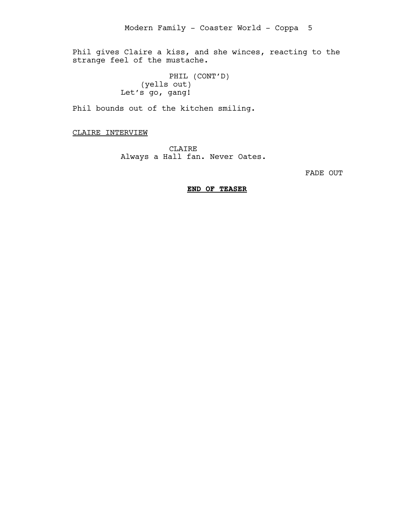Phil gives Claire a kiss, and she winces, reacting to the strange feel of the mustache.

> PHIL (CONT'D) (yells out) Let's go, gang!

Phil bounds out of the kitchen smiling.

CLAIRE INTERVIEW

CLAIRE Always a Hall fan. Never Oates.

FADE OUT

# **END OF TEASER**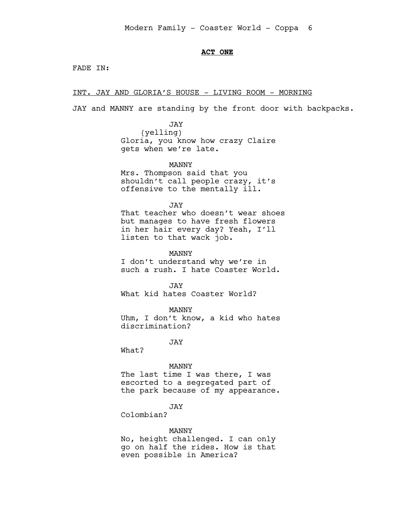# **ACT ONE**

FADE IN:

INT. JAY AND GLORIA'S HOUSE - LIVING ROOM - MORNING

JAY and MANNY are standing by the front door with backpacks.

JAY (yelling) Gloria, you know how crazy Claire gets when we're late.

MANNY

Mrs. Thompson said that you shouldn't call people crazy, it's offensive to the mentally ill.

JAY

That teacher who doesn't wear shoes but manages to have fresh flowers in her hair every day? Yeah, I'll listen to that wack job.

MANNY

I don't understand why we're in such a rush. I hate Coaster World.

JAY What kid hates Coaster World?

MANNY

Uhm, I don't know, a kid who hates discrimination?

JAY

What?

MANNY

The last time I was there, I was escorted to a segregated part of the park because of my appearance.

JAY

Colombian?

#### MANNY

No, height challenged. I can only go on half the rides. How is that even possible in America?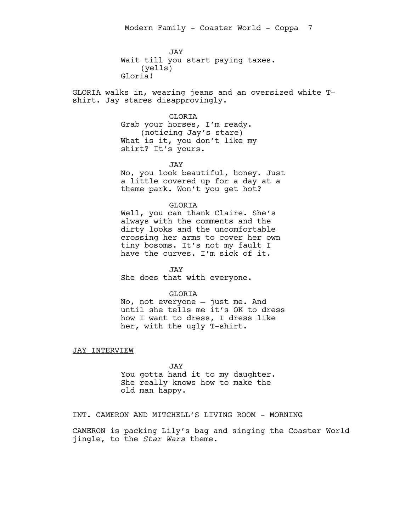JAY Wait till you start paying taxes. (yells) Gloria!

GLORIA walks in, wearing jeans and an oversized white Tshirt. Jay stares disapprovingly.

#### GLORIA

Grab your horses, I'm ready. (noticing Jay's stare) What is it, you don't like my shirt? It's yours.

JAY

No, you look beautiful, honey. Just a little covered up for a day at a theme park. Won't you get hot?

# GLORIA

Well, you can thank Claire. She's always with the comments and the dirty looks and the uncomfortable crossing her arms to cover her own tiny bosoms. It's not my fault I have the curves. I'm sick of it.

JAY She does that with everyone.

# GLORIA

No, not everyone — just me. And until she tells me it's OK to dress how I want to dress, I dress like her, with the ugly T-shirt.

JAY INTERVIEW

JAY You gotta hand it to my daughter. She really knows how to make the old man happy.

# INT. CAMERON AND MITCHELL'S LIVING ROOM - MORNING

CAMERON is packing Lily's bag and singing the Coaster World jingle, to the *Star Wars* theme.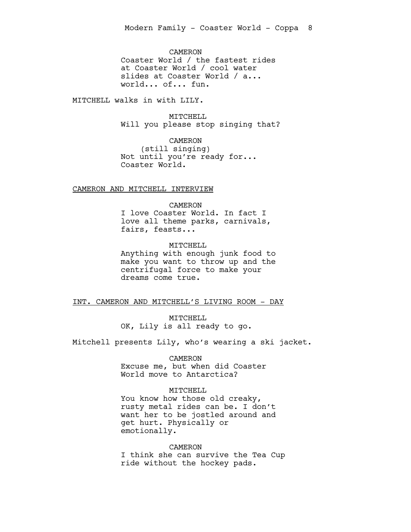CAMERON Coaster World / the fastest rides at Coaster World / cool water slides at Coaster World / a... world... of... fun.

MITCHELL walks in with LILY.

MITCHELL Will you please stop singing that?

CAMERON (still singing) Not until you're ready for... Coaster World.

### CAMERON AND MITCHELL INTERVIEW

CAMERON

I love Coaster World. In fact I love all theme parks, carnivals, fairs, feasts...

MITCHELL Anything with enough junk food to make you want to throw up and the centrifugal force to make your dreams come true.

# INT. CAMERON AND MITCHELL'S LIVING ROOM - DAY

MITCHELL OK, Lily is all ready to go.

Mitchell presents Lily, who's wearing a ski jacket.

CAMERON Excuse me, but when did Coaster World move to Antarctica?

# MITCHELL

You know how those old creaky, rusty metal rides can be. I don't want her to be jostled around and get hurt. Physically or emotionally.

CAMERON

I think she can survive the Tea Cup ride without the hockey pads.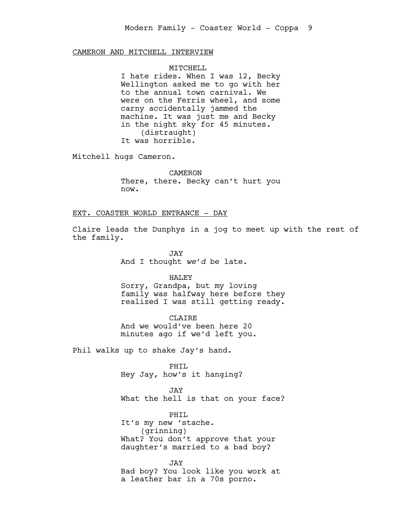CAMERON AND MITCHELL INTERVIEW

#### MITCHELL

I hate rides. When I was 12, Becky Wellington asked me to go with her to the annual town carnival. We were on the Ferris wheel, and some carny accidentally jammed the machine. It was just me and Becky in the night sky for 45 minutes. (distraught) It was horrible.

Mitchell hugs Cameron.

CAMERON There, there. Becky can't hurt you now.

# EXT. COASTER WORLD ENTRANCE - DAY

Claire leads the Dunphys in a jog to meet up with the rest of the family.

> JAY And I thought *we'd* be late.

> > HALEY

Sorry, Grandpa, but my loving family was halfway here before they realized I was still getting ready.

CLAIRE And we would've been here 20

minutes ago if we'd left you.

Phil walks up to shake Jay's hand.

PHIL Hey Jay, how's it hanging?

JAY What the hell is that on your face?

PHIL It's my new 'stache. (grinning) What? You don't approve that your daughter's married to a bad boy?

JAY Bad boy? You look like you work at a leather bar in a 70s porno.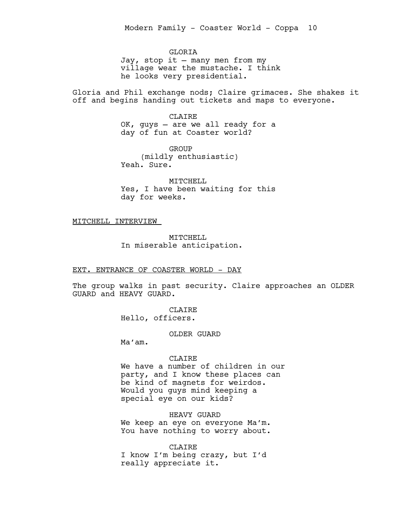**GLORTA** Jay, stop it — many men from my village wear the mustache. I think he looks very presidential.

Gloria and Phil exchange nods; Claire grimaces. She shakes it off and begins handing out tickets and maps to everyone.

> CLAIRE OK, guys — are we all ready for a day of fun at Coaster world?

GROUP (mildly enthusiastic) Yeah. Sure.

MITCHELL Yes, I have been waiting for this day for weeks.

MITCHELL INTERVIEW

MITCHELL In miserable anticipation.

# EXT. ENTRANCE OF COASTER WORLD - DAY

The group walks in past security. Claire approaches an OLDER GUARD and HEAVY GUARD.

> CLAIRE Hello, officers.

> > OLDER GUARD

Ma'am.

# CLAIRE

We have a number of children in our party, and I know these places can be kind of magnets for weirdos. Would you guys mind keeping a special eye on our kids?

HEAVY GUARD

We keep an eye on everyone Ma'm. You have nothing to worry about.

CLAIRE I know I'm being crazy, but I'd really appreciate it.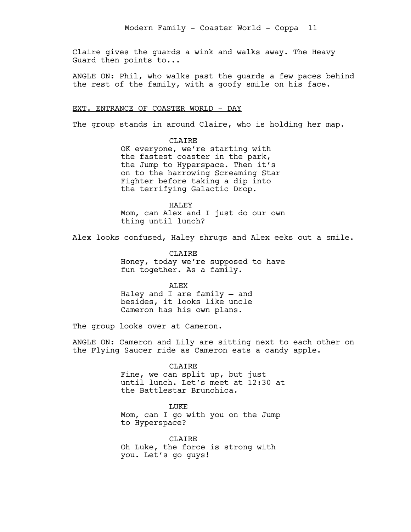Claire gives the guards a wink and walks away. The Heavy Guard then points to...

ANGLE ON: Phil, who walks past the guards a few paces behind the rest of the family, with a goofy smile on his face.

# EXT. ENTRANCE OF COASTER WORLD - DAY

The group stands in around Claire, who is holding her map.

CLAIRE OK everyone, we're starting with the fastest coaster in the park, the Jump to Hyperspace. Then it's on to the harrowing Screaming Star Fighter before taking a dip into the terrifying Galactic Drop.

HALEY Mom, can Alex and I just do our own thing until lunch?

Alex looks confused, Haley shrugs and Alex eeks out a smile.

CLAIRE Honey, today we're supposed to have fun together. As a family.

ALEX

Haley and I are family — and besides, it looks like uncle Cameron has his own plans.

The group looks over at Cameron.

ANGLE ON: Cameron and Lily are sitting next to each other on the Flying Saucer ride as Cameron eats a candy apple.

#### CLAIRE

Fine, we can split up, but just until lunch. Let's meet at 12:30 at the Battlestar Brunchica.

**LUKE** 

Mom, can I go with you on the Jump to Hyperspace?

CLAIRE Oh Luke, the force is strong with you. Let's go guys!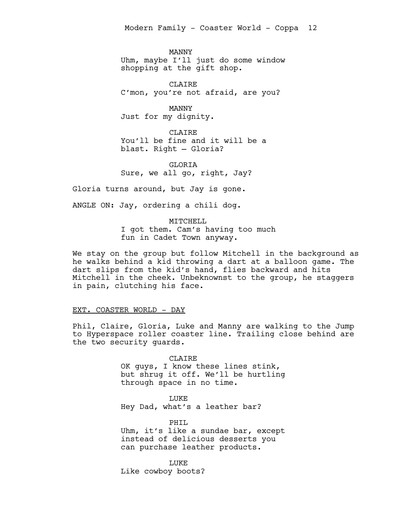MANNY Uhm, maybe I'll just do some window shopping at the gift shop.

CLAIRE C'mon, you're not afraid, are you?

MANNY Just for my dignity.

CLAIRE You'll be fine and it will be a blast. Right — Gloria?

GLORIA Sure, we all go, right, Jay?

Gloria turns around, but Jay is gone.

ANGLE ON: Jay, ordering a chili dog.

#### MITCHELL

I got them. Cam's having too much fun in Cadet Town anyway.

We stay on the group but follow Mitchell in the background as he walks behind a kid throwing a dart at a balloon game. The dart slips from the kid's hand, flies backward and hits Mitchell in the cheek. Unbeknownst to the group, he staggers in pain, clutching his face.

# EXT. COASTER WORLD - DAY

Phil, Claire, Gloria, Luke and Manny are walking to the Jump to Hyperspace roller coaster line. Trailing close behind are the two security guards.

> CLAIRE OK guys, I know these lines stink, but shrug it off. We'll be hurtling through space in no time.

LUKE Hey Dad, what's a leather bar?

PHIL Uhm, it's like a sundae bar, except instead of delicious desserts you can purchase leather products.

LUKE Like cowboy boots?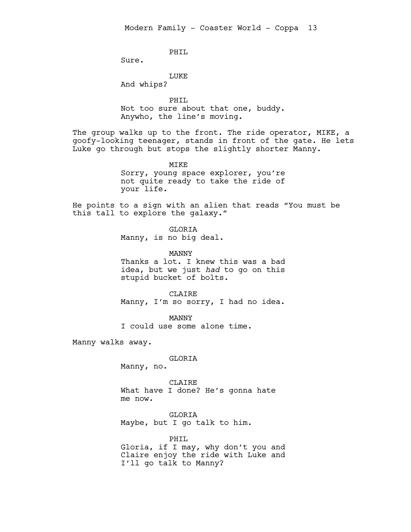PHIL

Sure.

LUKE

And whips?

your life.

PHIL Not too sure about that one, buddy. Anywho, the line's moving.

The group walks up to the front. The ride operator, MIKE, a goofy-looking teenager, stands in front of the gate. He lets Luke go through but stops the slightly shorter Manny.

> MIKE Sorry, young space explorer, you're not quite ready to take the ride of

He points to a sign with an alien that reads "You must be this tall to explore the galaxy."

> GLORIA Manny, is no big deal.

MANNY Thanks a lot. I knew this was a bad idea, but we just *had* to go on this stupid bucket of bolts.

CLAIRE Manny, I'm so sorry, I had no idea.

MANNY I could use some alone time.

Manny walks away.

# GLORIA

Manny, no.

CLAIRE What have I done? He's gonna hate me now.

GLORIA Maybe, but I go talk to him.

PHIL Gloria, if I may, why don't you and Claire enjoy the ride with Luke and I'll go talk to Manny?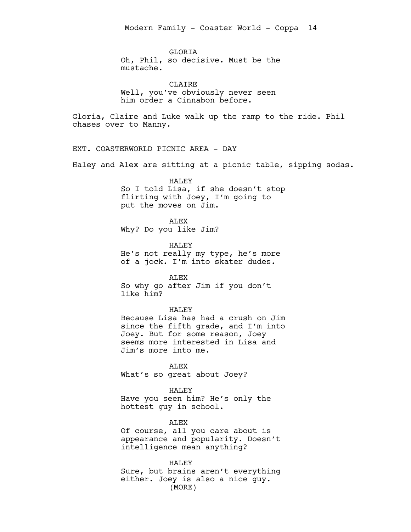**GLORTA** Oh, Phil, so decisive. Must be the mustache.

CLAIRE Well, you've obviously never seen him order a Cinnabon before.

Gloria, Claire and Luke walk up the ramp to the ride. Phil chases over to Manny.

# EXT. COASTERWORLD PICNIC AREA - DAY

Haley and Alex are sitting at a picnic table, sipping sodas.

# HALEY

So I told Lisa, if she doesn't stop flirting with Joey, I'm going to put the moves on Jim.

# ALEX

Why? Do you like Jim?

HALEY He's not really my type, he's more of a jock. I'm into skater dudes.

ALEX

So why go after Jim if you don't like him?

#### HALEY

Because Lisa has had a crush on Jim since the fifth grade, and I'm into Joey. But for some reason, Joey seems more interested in Lisa and Jim's more into me.

ALEX What's so great about Joey?

HALEY Have you seen him? He's only the hottest guy in school.

**ALEX** 

Of course, all you care about is appearance and popularity. Doesn't intelligence mean anything?

HALEY Sure, but brains aren't everything either. Joey is also a nice guy. (MORE)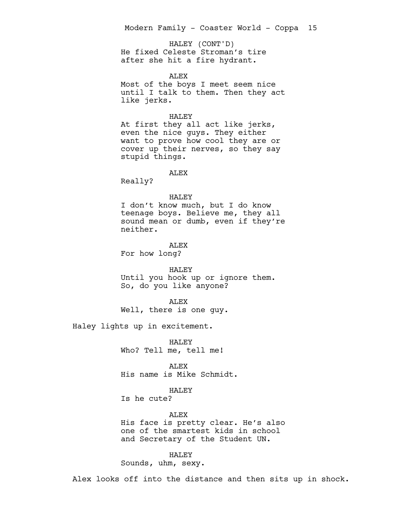He fixed Celeste Stroman's tire after she hit a fire hydrant. HALEY (CONT'D)

**ALEX** 

Most of the boys I meet seem nice until I talk to them. Then they act like jerks.

# HALEY

At first they all act like jerks, even the nice guys. They either want to prove how cool they are or cover up their nerves, so they say stupid things.

ALEX

Really?

#### HALEY

I don't know much, but I do know teenage boys. Believe me, they all sound mean or dumb, even if they're neither.

**ALEX** For how long?

HALEY Until you hook up or ignore them. So, do you like anyone?

ALEX Well, there is one guy.

Haley lights up in excitement.

HALEY Who? Tell me, tell me!

ALEX His name is Mike Schmidt.

# HALEY

Is he cute?

ALEX His face is pretty clear. He's also one of the smartest kids in school and Secretary of the Student UN.

HALEY Sounds, uhm, sexy.

Alex looks off into the distance and then sits up in shock.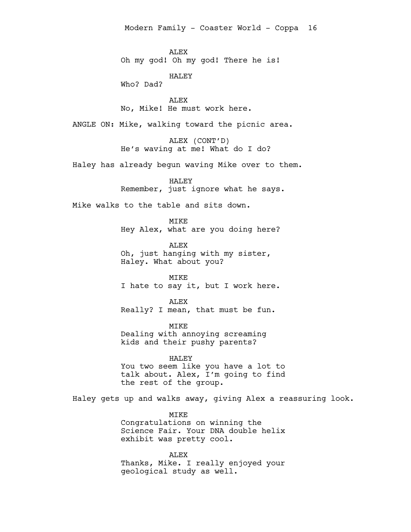**ALEX** Oh my god! Oh my god! There he is!

HALEY

Who? Dad?

ALEX No, Mike! He must work here.

ANGLE ON: Mike, walking toward the picnic area.

ALEX (CONT'D) He's waving at me! What do I do?

Haley has already begun waving Mike over to them.

HALEY Remember, just ignore what he says.

Mike walks to the table and sits down.

MIKE Hey Alex, what are you doing here?

**ALEX** Oh, just hanging with my sister, Haley. What about you?

MIKE I hate to say it, but I work here.

ALEX Really? I mean, that must be fun.

MIKE Dealing with annoying screaming kids and their pushy parents?

HALEY You two seem like you have a lot to talk about. Alex, I'm going to find the rest of the group.

Haley gets up and walks away, giving Alex a reassuring look.

MIKE Congratulations on winning the Science Fair. Your DNA double helix exhibit was pretty cool.

ALEX Thanks, Mike. I really enjoyed your geological study as well.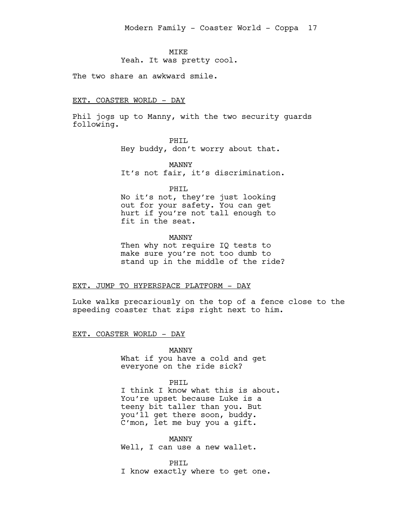### **MTKE**

Yeah. It was pretty cool.

The two share an awkward smile.

#### EXT. COASTER WORLD - DAY

Phil jogs up to Manny, with the two security guards following.

PHIL

Hey buddy, don't worry about that.

MANNY It's not fair, it's discrimination.

PHIL

No it's not, they're just looking out for your safety. You can get hurt if you're not tall enough to fit in the seat.

# MANNY

Then why not require IQ tests to make sure you're not too dumb to stand up in the middle of the ride?

### EXT. JUMP TO HYPERSPACE PLATFORM - DAY

Luke walks precariously on the top of a fence close to the speeding coaster that zips right next to him.

EXT. COASTER WORLD - DAY

MANNY What if you have a cold and get everyone on the ride sick?

PHTT.

I think I know what this is about. You're upset because Luke is a teeny bit taller than you. But you'll get there soon, buddy. C'mon, let me buy you a gift.

MANNY Well, I can use a new wallet.

PHIL I know exactly where to get one.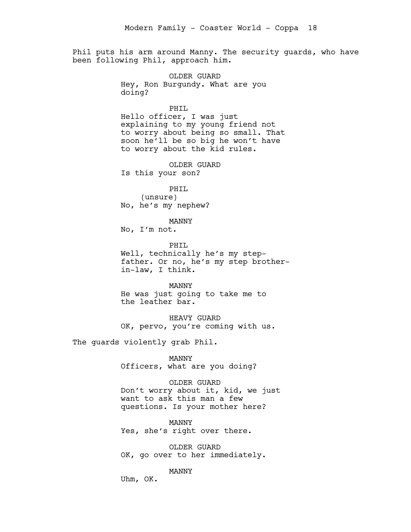Phil puts his arm around Manny. The security guards, who have been following Phil, approach him.

> OLDER GUARD Hey, Ron Burgundy. What are you doing?

> > PHIL

Hello officer, I was just explaining to my young friend not to worry about being so small. That soon he'll be so big he won't have to worry about the kid rules.

OLDER GUARD Is this your son?

PHIL (unsure) No, he's my nephew?

MANNY

No, I'm not.

PHTT. Well, technically he's my stepfather. Or no, he's my step brotherin-law, I think.

MANNY He was just going to take me to the leather bar.

HEAVY GUARD OK, pervo, you're coming with us.

The guards violently grab Phil.

MANNY Officers, what are you doing?

OLDER GUARD Don't worry about it, kid, we just want to ask this man a few questions. Is your mother here?

MANNY Yes, she's right over there.

OLDER GUARD OK, go over to her immediately.

MANNY

Uhm, OK.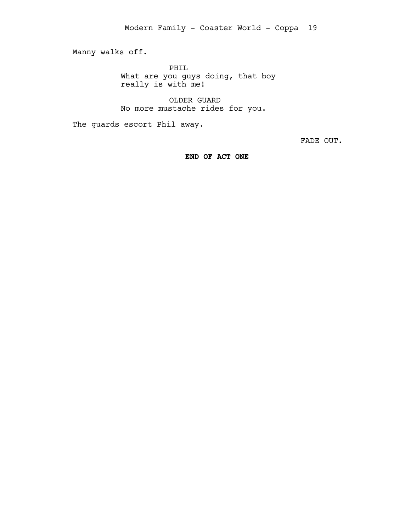Manny walks off.

PHIL What are you guys doing, that boy really is with me!

OLDER GUARD No more mustache rides for you.

The guards escort Phil away.

FADE OUT.

**END OF ACT ONE**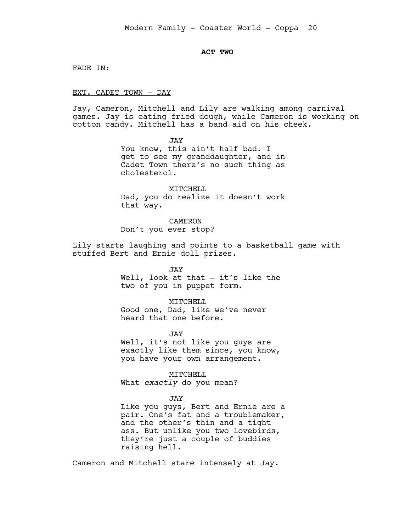# **ACT TWO**

FADE IN:

### EXT. CADET TOWN - DAY

Jay, Cameron, Mitchell and Lily are walking among carnival games. Jay is eating fried dough, while Cameron is working on cotton candy. Mitchell has a band aid on his cheek.

> JAY You know, this ain't half bad. I get to see my granddaughter, and in Cadet Town there's no such thing as cholesterol.

> MITCHELL Dad, you do realize it doesn't work that way.

CAMERON Don't you ever stop?

Lily starts laughing and points to a basketball game with stuffed Bert and Ernie doll prizes.

> JAY Well, look at that — it's like the two of you in puppet form.

MITCHELL Good one, Dad, like we've never heard that one before.

JAY

Well, it's not like you guys are exactly like them since, you know, you have your own arrangement.

MITCHELL What *exactly* do you mean?

#### JAY

Like you guys, Bert and Ernie are a pair. One's fat and a troublemaker, and the other's thin and a tight ass. But unlike you two lovebirds, they're just a couple of buddies raising hell.

Cameron and Mitchell stare intensely at Jay.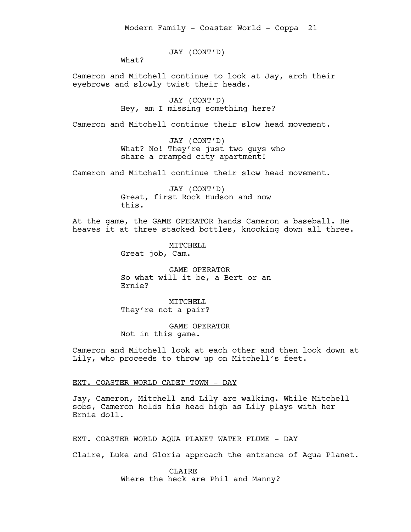JAY (CONT'D)

What?

Cameron and Mitchell continue to look at Jay, arch their eyebrows and slowly twist their heads.

> JAY (CONT'D) Hey, am I missing something here?

Cameron and Mitchell continue their slow head movement.

JAY (CONT'D) What? No! They're just two guys who share a cramped city apartment!

Cameron and Mitchell continue their slow head movement.

JAY (CONT'D) Great, first Rock Hudson and now this.

At the game, the GAME OPERATOR hands Cameron a baseball. He heaves it at three stacked bottles, knocking down all three.

> MITCHELL Great job, Cam.

GAME OPERATOR So what will it be, a Bert or an Ernie?

MITCHELL They're not a pair?

GAME OPERATOR Not in this game.

Cameron and Mitchell look at each other and then look down at Lily, who proceeds to throw up on Mitchell's feet.

EXT. COASTER WORLD CADET TOWN - DAY

Jay, Cameron, Mitchell and Lily are walking. While Mitchell sobs, Cameron holds his head high as Lily plays with her Ernie doll.

# EXT. COASTER WORLD AQUA PLANET WATER FLUME - DAY

Claire, Luke and Gloria approach the entrance of Aqua Planet.

CLAIRE Where the heck are Phil and Manny?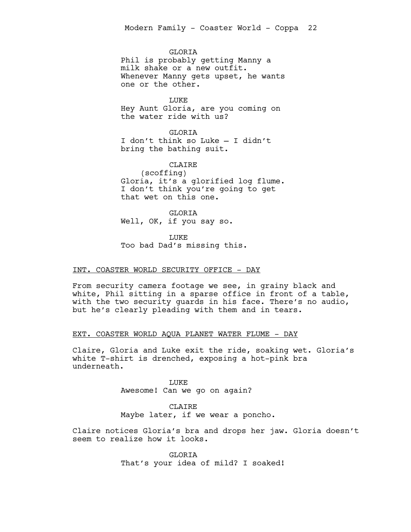**GLORTA** 

Phil is probably getting Manny a milk shake or a new outfit. Whenever Manny gets upset, he wants one or the other.

LUKE Hey Aunt Gloria, are you coming on the water ride with us?

GLORIA I don't think so Luke — I didn't bring the bathing suit.

CLAIRE (scoffing) Gloria, it's a glorified log flume. I don't think you're going to get that wet on this one.

GLORIA Well, OK, if you say so.

LUKE Too bad Dad's missing this.

# INT. COASTER WORLD SECURITY OFFICE - DAY

From security camera footage we see, in grainy black and white, Phil sitting in a sparse office in front of a table, with the two security guards in his face. There's no audio, but he's clearly pleading with them and in tears.

# EXT. COASTER WORLD AQUA PLANET WATER FLUME - DAY

Claire, Gloria and Luke exit the ride, soaking wet. Gloria's white T-shirt is drenched, exposing a hot-pink bra underneath.

> LUKE Awesome! Can we go on again?

CLAIRE Maybe later, if we wear a poncho.

Claire notices Gloria's bra and drops her jaw. Gloria doesn't seem to realize how it looks.

> GLORIA That's your idea of mild? I soaked!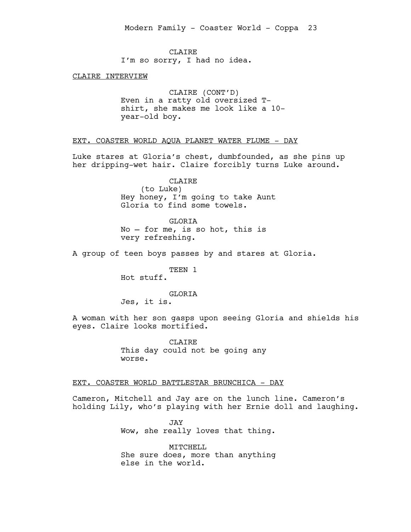CLAIRE I'm so sorry, I had no idea.

CLAIRE INTERVIEW

CLAIRE (CONT'D) Even in a ratty old oversized Tshirt, she makes me look like a 10 year-old boy.

EXT. COASTER WORLD AQUA PLANET WATER FLUME - DAY

Luke stares at Gloria's chest, dumbfounded, as she pins up her dripping-wet hair. Claire forcibly turns Luke around.

> CLAIRE (to Luke) Hey honey, I'm going to take Aunt Gloria to find some towels.

GLORIA No — for me, is so hot, this is very refreshing.

A group of teen boys passes by and stares at Gloria.

TEEN 1

Hot stuff.

# GLORIA

Jes, it is.

A woman with her son gasps upon seeing Gloria and shields his eyes. Claire looks mortified.

> CLAIRE This day could not be going any worse.

EXT. COASTER WORLD BATTLESTAR BRUNCHICA - DAY

Cameron, Mitchell and Jay are on the lunch line. Cameron's holding Lily, who's playing with her Ernie doll and laughing.

> JAY Wow, she really loves that thing.

MITCHELL She sure does, more than anything else in the world.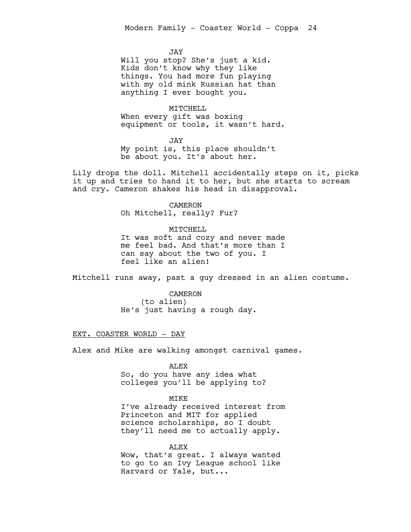JAY

Will you stop? She's just a kid. Kids don't know why they like things. You had more fun playing with my old mink Russian hat than anything I ever bought you.

MITCHELL When every gift was boxing equipment or tools, it wasn't hard.

JAY My point is, this place shouldn't be about you. It's about her.

Lily drops the doll. Mitchell accidentally steps on it, picks it up and tries to hand it to her, but she starts to scream and cry. Cameron shakes his head in disapproval.

> CAMERON Oh Mitchell, really? Fur?

MITCHELL It was soft and cozy and never made me feel bad. And that's more than I can say about the two of you. I feel like an alien!

Mitchell runs away, past a guy dressed in an alien costume.

CAMERON (to alien) He's just having a rough day.

# EXT. COASTER WORLD - DAY

Alex and Mike are walking amongst carnival games.

ALEX

So, do you have any idea what colleges you'll be applying to?

# MIKE

I've already received interest from Princeton and MIT for applied science scholarships, so I doubt they'll need me to actually apply.

ALEX Wow, that's great. I always wanted to go to an Ivy League school like Harvard or Yale, but...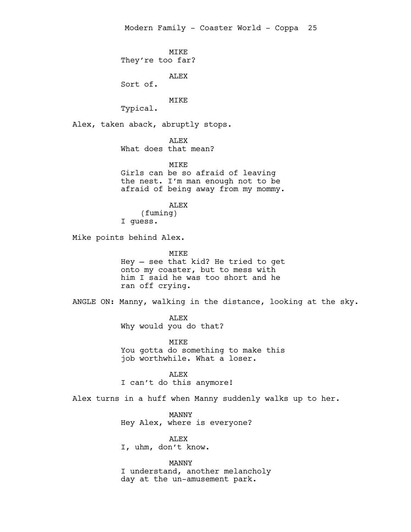MIKE They're too far? ALEX Sort of. MIKE Typical. Alex, taken aback, abruptly stops. ALEX What does that mean? MTKF.

Girls can be so afraid of leaving the nest. I'm man enough not to be afraid of being away from my mommy.

ALEX (fuming) I guess.

Mike points behind Alex.

MIKE Hey — see that kid? He tried to get onto my coaster, but to mess with him I said he was too short and he ran off crying.

ANGLE ON: Manny, walking in the distance, looking at the sky.

ALEX Why would you do that?

MIKE You gotta do something to make this job worthwhile. What a loser.

ALEX I can't do this anymore!

Alex turns in a huff when Manny suddenly walks up to her.

MANNY Hey Alex, where is everyone?

ALEX I, uhm, don't know.

MANNY I understand, another melancholy day at the un-amusement park.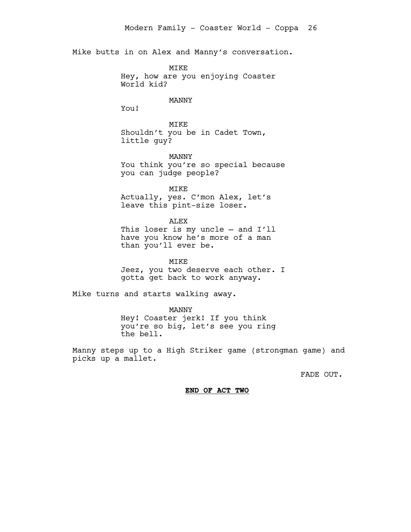Mike butts in on Alex and Manny's conversation.

MIKE Hey, how are you enjoying Coaster World kid?

# MANNY

You!

MIKE Shouldn't you be in Cadet Town, little guy?

MANNY You think you're so special because you can judge people?

MIKE Actually, yes. C'mon Alex, let's leave this pint-size loser.

#### ALEX

This loser is my uncle — and I'll have you know he's more of a man than you'll ever be.

MIKE

Jeez, you two deserve each other. I gotta get back to work anyway.

Mike turns and starts walking away.

MANNY Hey! Coaster jerk! If you think you're so big, let's see you ring the bell.

Manny steps up to a High Striker game (strongman game) and picks up a mallet.

FADE OUT.

#### **END OF ACT TWO**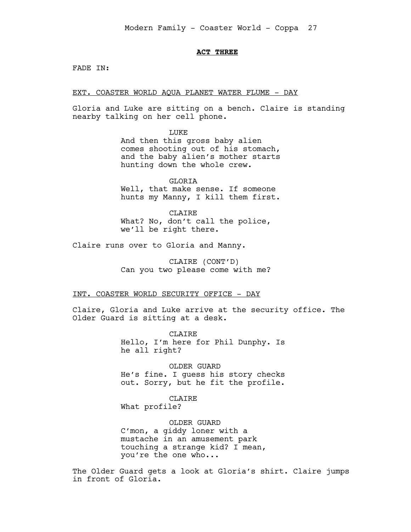# **ACT THREE**

FADE IN:

EXT. COASTER WORLD AQUA PLANET WATER FLUME - DAY

Gloria and Luke are sitting on a bench. Claire is standing nearby talking on her cell phone.

> LUKE And then this gross baby alien comes shooting out of his stomach, and the baby alien's mother starts hunting down the whole crew.

GLORIA Well, that make sense. If someone hunts my Manny, I kill them first.

**CLAIRE** What? No, don't call the police, we'll be right there.

Claire runs over to Gloria and Manny.

CLAIRE (CONT'D) Can you two please come with me?

### INT. COASTER WORLD SECURITY OFFICE - DAY

Claire, Gloria and Luke arrive at the security office. The Older Guard is sitting at a desk.

> **CLAIRE** Hello, I'm here for Phil Dunphy. Is he all right?

OLDER GUARD He's fine. I guess his story checks out. Sorry, but he fit the profile.

CLAIRE What profile?

OLDER GUARD C'mon, a giddy loner with a mustache in an amusement park touching a strange kid? I mean, you're the one who...

The Older Guard gets a look at Gloria's shirt. Claire jumps in front of Gloria.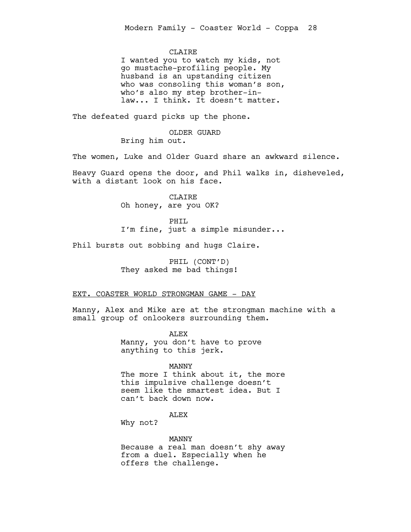# **CLAIRE**

I wanted you to watch my kids, not go mustache-profiling people. My husband is an upstanding citizen who was consoling this woman's son, who's also my step brother-inlaw... I think. It doesn't matter.

The defeated guard picks up the phone.

OLDER GUARD Bring him out.

The women, Luke and Older Guard share an awkward silence.

Heavy Guard opens the door, and Phil walks in, disheveled, with a distant look on his face.

> CLAIRE Oh honey, are you OK?

PHIL I'm fine, just a simple misunder...

Phil bursts out sobbing and hugs Claire.

PHIL (CONT'D) They asked me bad things!

### EXT. COASTER WORLD STRONGMAN GAME - DAY

Manny, Alex and Mike are at the strongman machine with a small group of onlookers surrounding them.

> ALEX Manny, you don't have to prove anything to this jerk.

#### MANNY

The more I think about it, the more this impulsive challenge doesn't seem like the smartest idea. But I can't back down now.

# ALEX

Why not?

MANNY Because a real man doesn't shy away from a duel. Especially when he offers the challenge.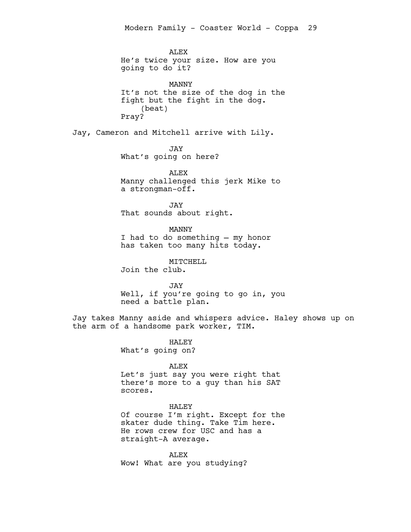ALEX He's twice your size. How are you going to do it?

MANNY It's not the size of the dog in the fight but the fight in the dog. (beat) Pray?

Jay, Cameron and Mitchell arrive with Lily.

JAY What's going on here?

ALEX Manny challenged this jerk Mike to a strongman-off.

JAY That sounds about right.

MANNY I had to do something — my honor has taken too many hits today.

MITCHELL

Join the club.

JAY Well, if you're going to go in, you need a battle plan.

Jay takes Manny aside and whispers advice. Haley shows up on the arm of a handsome park worker, TIM.

HALEY

What's going on?

# ALEX

Let's just say you were right that there's more to a guy than his SAT scores.

# HALEY

Of course I'm right. Except for the skater dude thing. Take Tim here. He rows crew for USC and has a straight-A average.

ALEX Wow! What are you studying?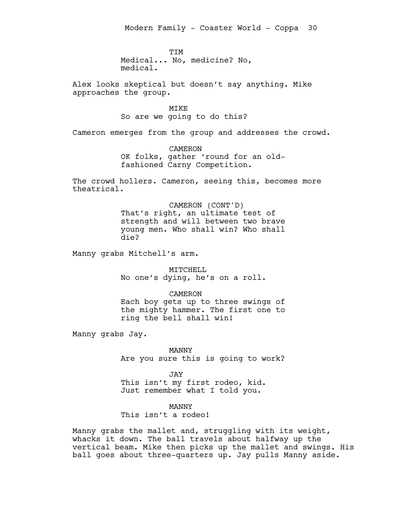**TTM** Medical... No, medicine? No, medical.

Alex looks skeptical but doesn't say anything. Mike approaches the group.

#### MIKE

So are we going to do this?

Cameron emerges from the group and addresses the crowd.

CAMERON OK folks, gather 'round for an oldfashioned Carny Competition.

The crowd hollers. Cameron, seeing this, becomes more theatrical.

> CAMERON (CONT'D) That's right, an ultimate test of strength and will between two brave young men. Who shall win? Who shall die?

Manny grabs Mitchell's arm.

MITCHELL No one's dying, he's on a roll.

CAMERON Each boy gets up to three swings of the mighty hammer. The first one to ring the bell shall win!

Manny grabs Jay.

MANNY Are you sure this is going to work?

JAY This isn't my first rodeo, kid. Just remember what I told you.

MANNY

This isn't a rodeo!

Manny grabs the mallet and, struggling with its weight, whacks it down. The ball travels about halfway up the vertical beam. Mike then picks up the mallet and swings. His ball goes about three-quarters up. Jay pulls Manny aside.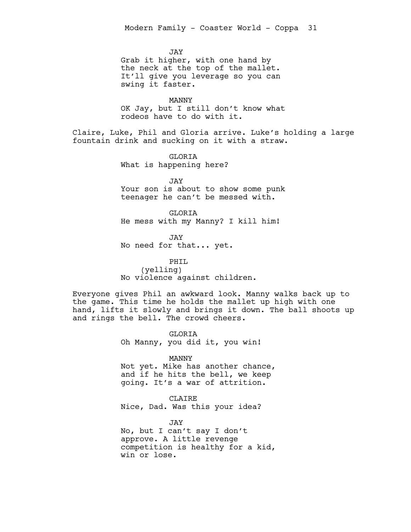JAY Grab it higher, with one hand by the neck at the top of the mallet. It'll give you leverage so you can swing it faster.

MANNY OK Jay, but I still don't know what rodeos have to do with it.

Claire, Luke, Phil and Gloria arrive. Luke's holding a large fountain drink and sucking on it with a straw.

> GLORIA What is happening here?

JAY Your son is about to show some punk teenager he can't be messed with.

GLORIA He mess with my Manny? I kill him!

JAY No need for that... yet.

PHIL (yelling) No violence against children.

Everyone gives Phil an awkward look. Manny walks back up to the game. This time he holds the mallet up high with one hand, lifts it slowly and brings it down. The ball shoots up and rings the bell. The crowd cheers.

> GLORIA Oh Manny, you did it, you win!

MANNY Not yet. Mike has another chance, and if he hits the bell, we keep going. It's a war of attrition.

CLAIRE Nice, Dad. Was this your idea?

JAY No, but I can't say I don't approve. A little revenge competition is healthy for a kid, win or lose.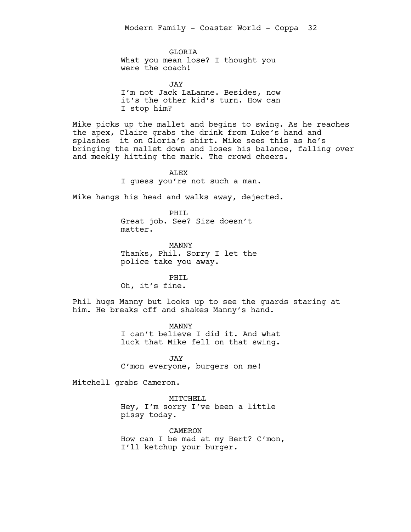**GLORTA** What you mean lose? I thought you were the coach!

JAY I'm not Jack LaLanne. Besides, now it's the other kid's turn. How can I stop him?

Mike picks up the mallet and begins to swing. As he reaches the apex, Claire grabs the drink from Luke's hand and splashes it on Gloria's shirt. Mike sees this as he's bringing the mallet down and loses his balance, falling over and meekly hitting the mark. The crowd cheers.

> **ALEX** I guess you're not such a man.

Mike hangs his head and walks away, dejected.

PHIL Great job. See? Size doesn't matter.

MANNY Thanks, Phil. Sorry I let the police take you away.

PHIL Oh, it's fine.

Phil hugs Manny but looks up to see the guards staring at him. He breaks off and shakes Manny's hand.

> MANNY I can't believe I did it. And what luck that Mike fell on that swing.

JAY C'mon everyone, burgers on me!

Mitchell grabs Cameron.

MITCHELL Hey, I'm sorry I've been a little pissy today.

CAMERON How can I be mad at my Bert? C'mon, I'll ketchup your burger.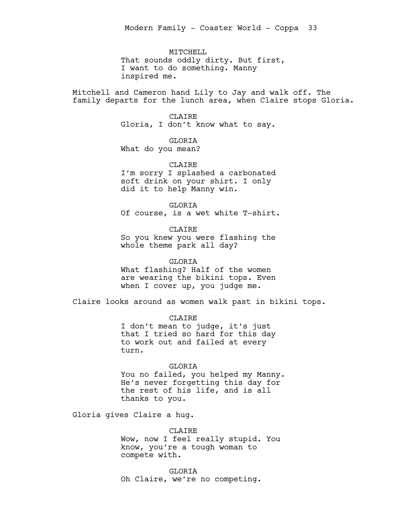MITCHELL That sounds oddly dirty. But first, I want to do something. Manny inspired me.

Mitchell and Cameron hand Lily to Jay and walk off. The family departs for the lunch area, when Claire stops Gloria.

# CLAIRE

Gloria, I don't know what to say.

# GLORIA

What do you mean?

# CLAIRE

I'm sorry I splashed a carbonated soft drink on your shirt. I only did it to help Manny win.

GLORIA Of course, is a wet white T-shirt.

CLAIRE So you knew you were flashing the whole theme park all day?

# GLORIA

What flashing? Half of the women are wearing the bikini tops. Even when I cover up, you judge me.

Claire looks around as women walk past in bikini tops.

CLAIRE

I don't mean to judge, it's just that I tried so hard for this day to work out and failed at every turn.

# GLORIA

You no failed, you helped my Manny. He's never forgetting this day for the rest of his life, and is all thanks to you.

Gloria gives Claire a hug.

CLAIRE

Wow, now I feel really stupid. You know, you're a tough woman to compete with.

GLORIA Oh Claire, we're no competing.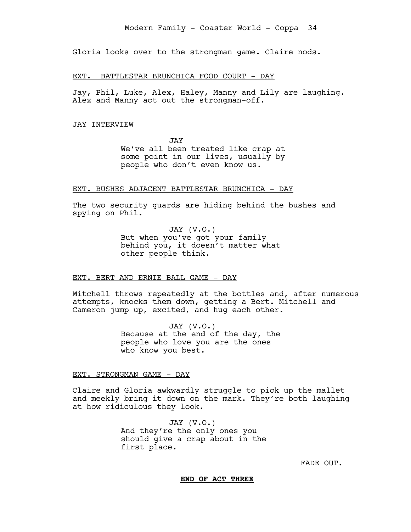Gloria looks over to the strongman game. Claire nods.

#### EXT. BATTLESTAR BRUNCHICA FOOD COURT - DAY

Jay, Phil, Luke, Alex, Haley, Manny and Lily are laughing. Alex and Manny act out the strongman-off.

#### JAY INTERVIEW

JAY We've all been treated like crap at some point in our lives, usually by people who don't even know us.

#### EXT. BUSHES ADJACENT BATTLESTAR BRUNCHICA - DAY

The two security guards are hiding behind the bushes and spying on Phil.

> JAY (V.O.) But when you've got your family behind you, it doesn't matter what other people think.

### EXT. BERT AND ERNIE BALL GAME - DAY

Mitchell throws repeatedly at the bottles and, after numerous attempts, knocks them down, getting a Bert. Mitchell and Cameron jump up, excited, and hug each other.

> JAY (V.O.) Because at the end of the day, the people who love you are the ones who know you best.

#### EXT. STRONGMAN GAME - DAY

Claire and Gloria awkwardly struggle to pick up the mallet and meekly bring it down on the mark. They're both laughing at how ridiculous they look.

> JAY (V.O.) And they're the only ones you should give a crap about in the first place.

> > FADE OUT.

#### **END OF ACT THREE**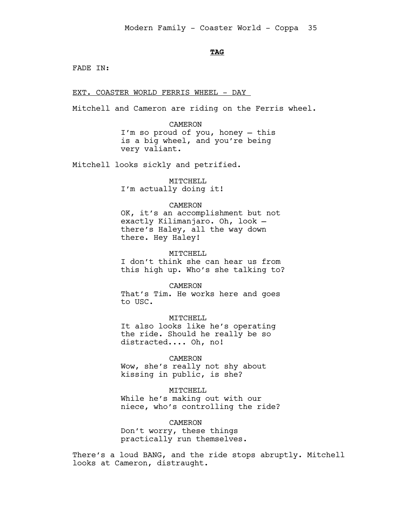# **TAG**

FADE IN:

EXT. COASTER WORLD FERRIS WHEEL - DAY

Mitchell and Cameron are riding on the Ferris wheel.

CAMERON I'm so proud of you, honey — this is a big wheel, and you're being very valiant.

Mitchell looks sickly and petrified.

MITCHELL I'm actually doing it!

# CAMERON

OK, it's an accomplishment but not exactly Kilimanjaro. Oh, look there's Haley, all the way down there. Hey Haley!

MITCHELL I don't think she can hear us from this high up. Who's she talking to?

CAMERON That's Tim. He works here and goes to USC.

MITCHELL

It also looks like he's operating the ride. Should he really be so distracted.... Oh, no!

CAMERON

Wow, she's really not shy about kissing in public, is she?

MITCHELL While he's making out with our niece, who's controlling the ride?

CAMERON

Don't worry, these things practically run themselves.

There's a loud BANG, and the ride stops abruptly. Mitchell looks at Cameron, distraught.